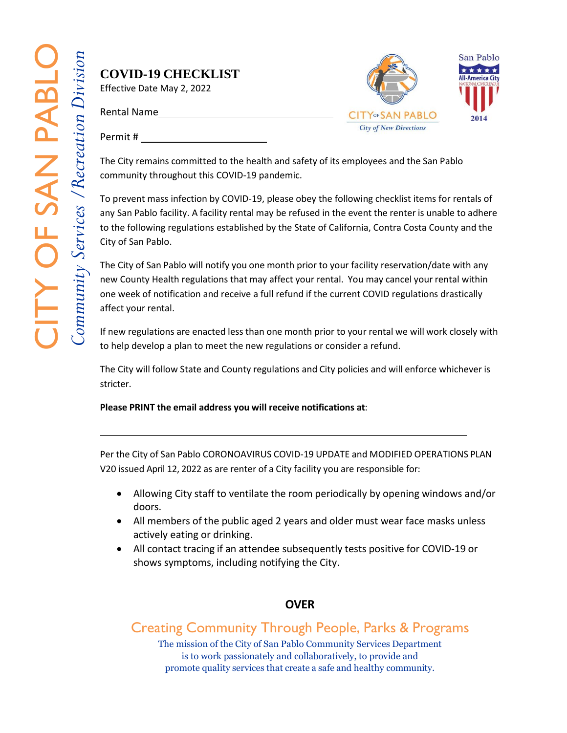## **COVID-19 CHECKLIST**

Effective Date May 2, 2022

Rental Name



Permit #

The City remains committed to the health and safety of its employees and the San Pablo community throughout this COVID-19 pandemic.

To prevent mass infection by COVID-19, please obey the following checklist items for rentals of any San Pablo facility. A facility rental may be refused in the event the renter is unable to adhere to the following regulations established by the State of California, Contra Costa County and the City of San Pablo.

The City of San Pablo will notify you one month prior to your facility reservation/date with any new County Health regulations that may affect your rental. You may cancel your rental within one week of notification and receive a full refund if the current COVID regulations drastically affect your rental.

If new regulations are enacted less than one month prior to your rental we will work closely with to help develop a plan to meet the new regulations or consider a refund.

The City will follow State and County regulations and City policies and will enforce whichever is stricter.

## **Please PRINT the email address you will receive notifications at**:

Per the City of San Pablo CORONOAVIRUS COVID-19 UPDATE and MODIFIED OPERATIONS PLAN V20 issued April 12, 2022 as are renter of a City facility you are responsible for:

- Allowing City staff to ventilate the room periodically by opening windows and/or doors.
- All members of the public aged 2 years and older must wear face masks unless actively eating or drinking.
- All contact tracing if an attendee subsequently tests positive for COVID-19 or shows symptoms, including notifying the City.

## **OVER**

Creating Community Through People, Parks & Programs

The mission of the City of San Pablo Community Services Department is to work passionately and collaboratively, to provide and promote quality services that create a safe and healthy community.